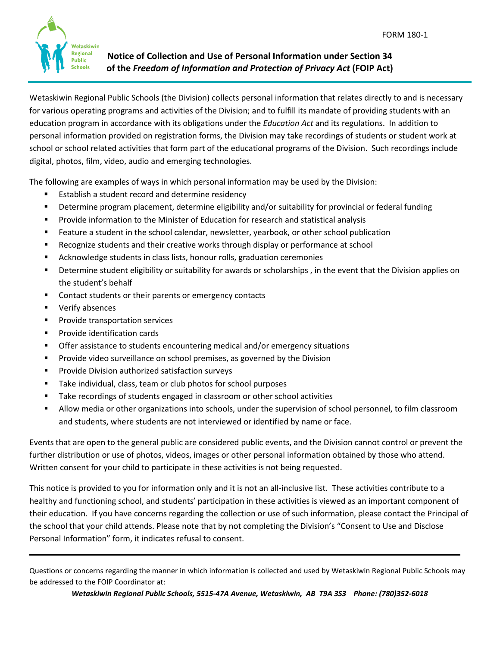

**Notice of Collection and Use of Personal Information under Section 34 of the** *Freedom of Information and Protection of Privacy Act* **(FOIP Act)**

Wetaskiwin Regional Public Schools (the Division) collects personal information that relates directly to and is necessary for various operating programs and activities of the Division; and to fulfill its mandate of providing students with an education program in accordance with its obligations under the *Education Act* and its regulations. In addition to personal information provided on registration forms, the Division may take recordings of students or student work at school or school related activities that form part of the educational programs of the Division. Such recordings include digital, photos, film, video, audio and emerging technologies.

The following are examples of ways in which personal information may be used by the Division:

- Establish a student record and determine residency
- Determine program placement, determine eligibility and/or suitability for provincial or federal funding
- Provide information to the Minister of Education for research and statistical analysis
- Feature a student in the school calendar, newsletter, yearbook, or other school publication
- **Recognize students and their creative works through display or performance at school**
- Acknowledge students in class lists, honour rolls, graduation ceremonies
- Determine student eligibility or suitability for awards or scholarships , in the event that the Division applies on the student's behalf
- **Contact students or their parents or emergency contacts**
- **•** Verify absences
- Provide transportation services
- **Provide identification cards**
- Offer assistance to students encountering medical and/or emergency situations
- Provide video surveillance on school premises, as governed by the Division
- Provide Division authorized satisfaction surveys
- Take individual, class, team or club photos for school purposes
- Take recordings of students engaged in classroom or other school activities
- Allow media or other organizations into schools, under the supervision of school personnel, to film classroom and students, where students are not interviewed or identified by name or face.

Events that are open to the general public are considered public events, and the Division cannot control or prevent the further distribution or use of photos, videos, images or other personal information obtained by those who attend. Written consent for your child to participate in these activities is not being requested.

This notice is provided to you for information only and it is not an all-inclusive list. These activities contribute to a healthy and functioning school, and students' participation in these activities is viewed as an important component of their education. If you have concerns regarding the collection or use of such information, please contact the Principal of the school that your child attends. Please note that by not completing the Division's "Consent to Use and Disclose Personal Information" form, it indicates refusal to consent.

Questions or concerns regarding the manner in which information is collected and used by Wetaskiwin Regional Public Schools may be addressed to the FOIP Coordinator at:

\_\_\_\_\_\_\_\_\_\_\_\_\_\_\_\_\_\_\_\_\_\_\_\_\_\_\_\_\_\_\_\_\_\_\_\_\_\_\_\_\_\_\_\_\_\_\_\_\_\_\_\_\_\_\_\_\_\_\_\_\_\_\_\_\_\_\_\_\_\_\_\_\_\_\_\_\_\_\_\_\_\_\_\_\_\_\_\_\_\_\_\_\_\_\_\_\_\_\_\_\_\_\_\_\_\_